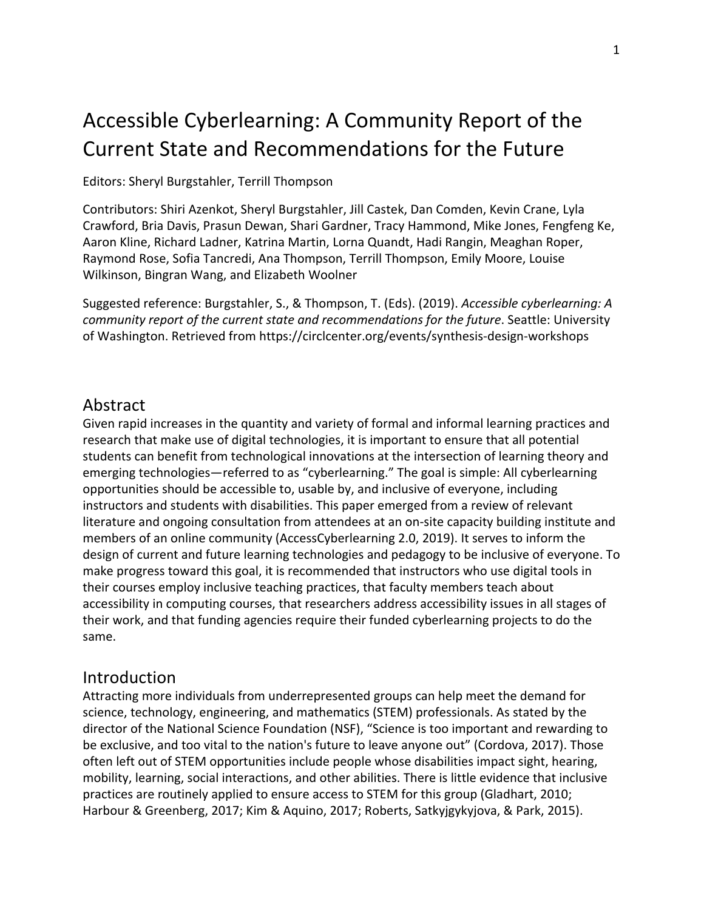# Accessible Cyberlearning: A Community Report of the Current State and Recommendations for the Future

#### Editors: Sheryl Burgstahler, Terrill Thompson

Contributors: Shiri Azenkot, Sheryl Burgstahler, Jill Castek, Dan Comden, Kevin Crane, Lyla Crawford, Bria Davis, Prasun Dewan, Shari Gardner, Tracy Hammond, Mike Jones, Fengfeng Ke, Aaron Kline, Richard Ladner, Katrina Martin, Lorna Quandt, Hadi Rangin, Meaghan Roper, Raymond Rose, Sofia Tancredi, Ana Thompson, Terrill Thompson, Emily Moore, Louise Wilkinson, Bingran Wang, and Elizabeth Woolner

Suggested reference: Burgstahler, S., & Thompson, T. (Eds). (2019). *Accessible cyberlearning: A community report of the current state and recommendations for the future*. Seattle: University of Washington. Retrieved from<https://circlcenter.org/events/synthesis-design-workshops>

#### Abstract

Given rapid increases in the quantity and variety of formal and informal learning practices and research that make use of digital technologies, it is important to ensure that all potential students can benefit from technological innovations at the intersection of learning theory and emerging technologies—referred to as "cyberlearning." The goal is simple: All cyberlearning opportunities should be accessible to, usable by, and inclusive of everyone, including instructors and students with disabilities. This paper emerged from a review of relevant literature and ongoing consultation from attendees at an on-site capacity building institute and members of an online community (AccessCyberlearning 2.0, 2019). It serves to inform the design of current and future learning technologies and pedagogy to be inclusive of everyone. To make progress toward this goal, it is recommended that instructors who use digital tools in their courses employ inclusive teaching practices, that faculty members teach about accessibility in computing courses, that researchers address accessibility issues in all stages of their work, and that funding agencies require their funded cyberlearning projects to do the same.

#### Introduction

Attracting more individuals from underrepresented groups can help meet the demand for science, technology, engineering, and mathematics (STEM) professionals. As stated by the director of the National Science Foundation (NSF), "Science is too important and rewarding to be exclusive, and too vital to the nation's future to leave anyone out" (Cordova, 2017). Those often left out of STEM opportunities include people whose disabilities impact sight, hearing, mobility, learning, social interactions, and other abilities. There is little evidence that inclusive practices are routinely applied to ensure access to STEM for this group (Gladhart, 2010; Harbour & Greenberg, 2017; Kim & Aquino, 2017; Roberts, Satkyjgykyjova, & Park, 2015).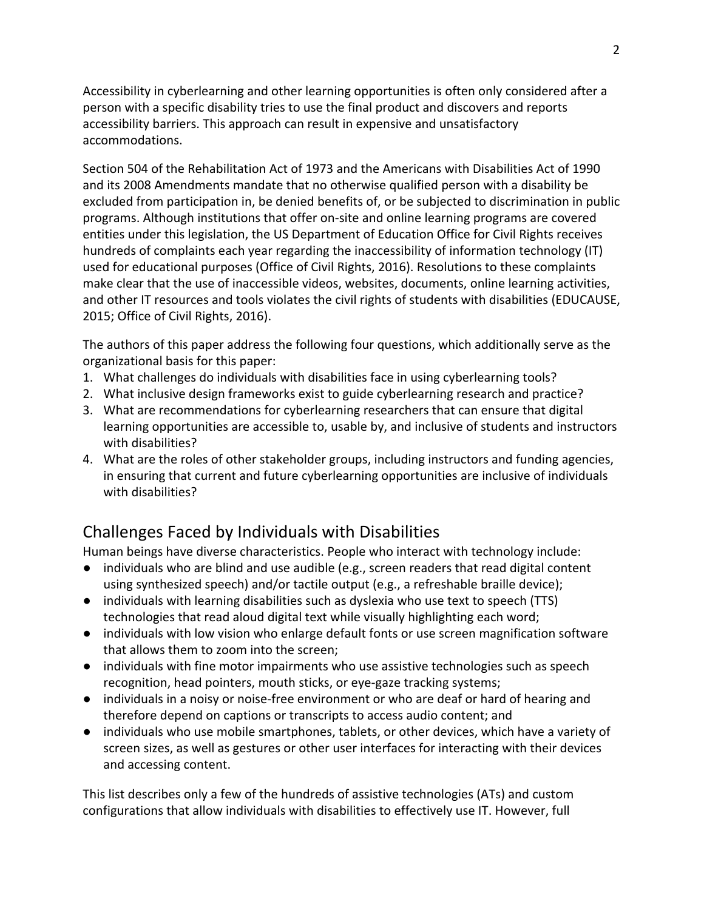Accessibility in cyberlearning and other learning opportunities is often only considered after a person with a specific disability tries to use the final product and discovers and reports accessibility barriers. This approach can result in expensive and unsatisfactory accommodations.

Section 504 of the Rehabilitation Act of 1973 and the Americans with Disabilities Act of 1990 and its 2008 Amendments mandate that no otherwise qualified person with a disability be excluded from participation in, be denied benefits of, or be subjected to discrimination in public programs. Although institutions that offer on-site and online learning programs are covered entities under this legislation, the US Department of Education Office for Civil Rights receives hundreds of complaints each year regarding the inaccessibility of information technology (IT) used for educational purposes (Office of Civil Rights, 2016). Resolutions to these complaints make clear that the use of inaccessible videos, websites, documents, online learning activities, and other IT resources and tools violates the civil rights of students with disabilities (EDUCAUSE, 2015; Office of Civil Rights, 2016).

The authors of this paper address the following four questions, which additionally serve as the organizational basis for this paper:

- 1. What challenges do individuals with disabilities face in using cyberlearning tools?
- 2. What inclusive design frameworks exist to guide cyberlearning research and practice?
- 3. What are recommendations for cyberlearning researchers that can ensure that digital learning opportunities are accessible to, usable by, and inclusive of students and instructors with disabilities?
- 4. What are the roles of other stakeholder groups, including instructors and funding agencies, in ensuring that current and future cyberlearning opportunities are inclusive of individuals with disabilities?

# Challenges Faced by Individuals with Disabilities

Human beings have diverse characteristics. People who interact with technology include:

- individuals who are blind and use audible (e.g., screen readers that read digital content using synthesized speech) and/or tactile output (e.g., a refreshable braille device);
- individuals with learning disabilities such as dyslexia who use text to speech (TTS) technologies that read aloud digital text while visually highlighting each word;
- individuals with low vision who enlarge default fonts or use screen magnification software that allows them to zoom into the screen;
- individuals with fine motor impairments who use assistive technologies such as speech recognition, head pointers, mouth sticks, or eye-gaze tracking systems;
- individuals in a noisy or noise-free environment or who are deaf or hard of hearing and therefore depend on captions or transcripts to access audio content; and
- individuals who use mobile smartphones, tablets, or other devices, which have a variety of screen sizes, as well as gestures or other user interfaces for interacting with their devices and accessing content.

This list describes only a few of the hundreds of assistive technologies (ATs) and custom configurations that allow individuals with disabilities to effectively use IT. However, full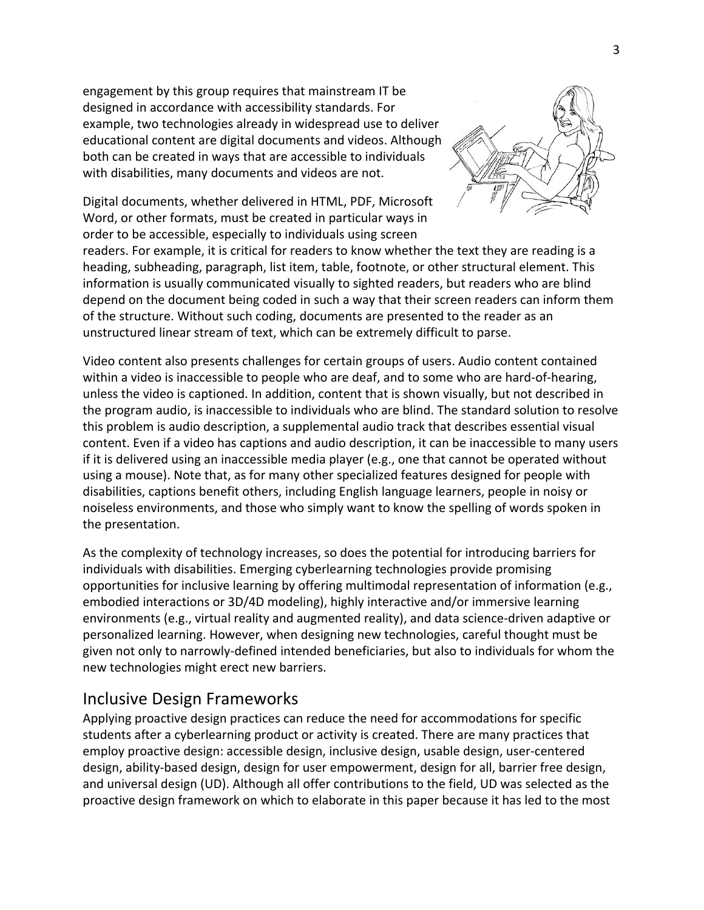engagement by this group requires that mainstream IT be designed in accordance with accessibility standards. For example, two technologies already in widespread use to deliver educational content are digital documents and videos. Although both can be created in ways that are accessible to individuals with disabilities, many documents and videos are not.



Digital documents, whether delivered in HTML, PDF, Microsoft Word, or other formats, must be created in particular ways in order to be accessible, especially to individuals using screen

readers. For example, it is critical for readers to know whether the text they are reading is a heading, subheading, paragraph, list item, table, footnote, or other structural element. This information is usually communicated visually to sighted readers, but readers who are blind depend on the document being coded in such a way that their screen readers can inform them of the structure. Without such coding, documents are presented to the reader as an unstructured linear stream of text, which can be extremely difficult to parse.

Video content also presents challenges for certain groups of users. Audio content contained within a video is inaccessible to people who are deaf, and to some who are hard-of-hearing, unless the video is captioned. In addition, content that is shown visually, but not described in the program audio, is inaccessible to individuals who are blind. The standard solution to resolve this problem is audio description, a supplemental audio track that describes essential visual content. Even if a video has captions and audio description, it can be inaccessible to many users if it is delivered using an inaccessible media player (e.g., one that cannot be operated without using a mouse). Note that, as for many other specialized features designed for people with disabilities, captions benefit others, including English language learners, people in noisy or noiseless environments, and those who simply want to know the spelling of words spoken in the presentation.

As the complexity of technology increases, so does the potential for introducing barriers for individuals with disabilities. Emerging cyberlearning technologies provide promising opportunities for inclusive learning by offering multimodal representation of information (e.g., embodied interactions or 3D/4D modeling), highly interactive and/or immersive learning environments (e.g., virtual reality and augmented reality), and data science-driven adaptive or personalized learning. However, when designing new technologies, careful thought must be given not only to narrowly-defined intended beneficiaries, but also to individuals for whom the new technologies might erect new barriers.

#### Inclusive Design Frameworks

Applying proactive design practices can reduce the need for accommodations for specific students after a cyberlearning product or activity is created. There are many practices that employ proactive design: accessible design, inclusive design, usable design, user-centered design, ability-based design, design for user empowerment, design for all, barrier free design, and universal design (UD). Although all offer contributions to the field, UD was selected as the proactive design framework on which to elaborate in this paper because it has led to the most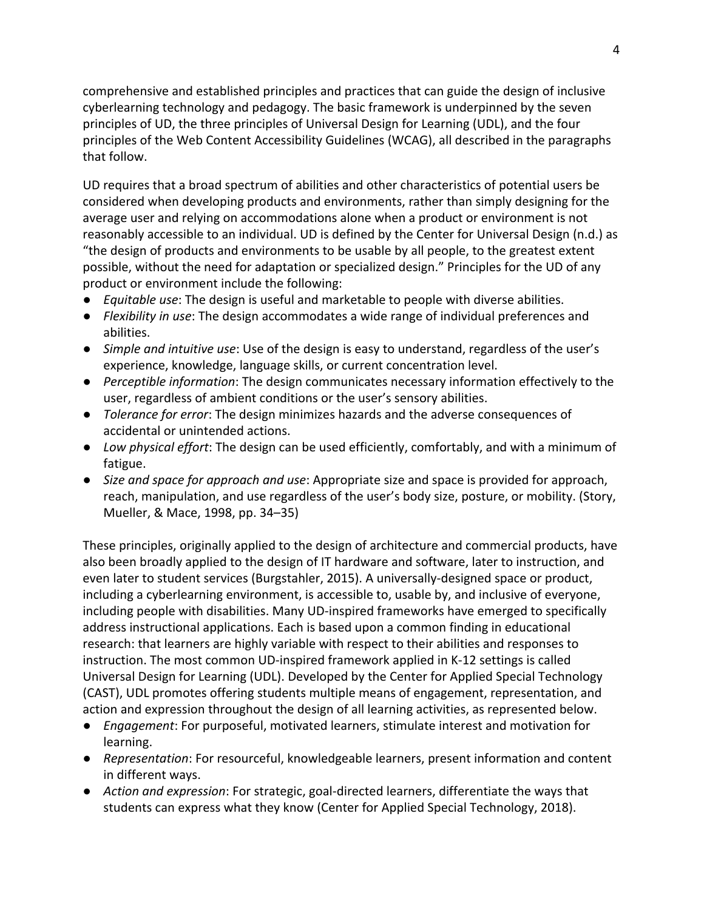comprehensive and established principles and practices that can guide the design of inclusive cyberlearning technology and pedagogy. The basic framework is underpinned by the seven principles of UD, the three principles of Universal Design for Learning (UDL), and the four principles of the Web Content Accessibility Guidelines (WCAG), all described in the paragraphs that follow.

UD requires that a broad spectrum of abilities and other characteristics of potential users be considered when developing products and environments, rather than simply designing for the average user and relying on accommodations alone when a product or environment is not reasonably accessible to an individual. UD is defined by the Center for Universal Design (n.d.) as "the design of products and environments to be usable by all people, to the greatest extent possible, without the need for adaptation or specialized design." Principles for the UD of any product or environment include the following:

- *Equitable use*: The design is useful and marketable to people with diverse abilities.
- *Flexibility in use*: The design accommodates a wide range of individual preferences and abilities.
- *Simple and intuitive use*: Use of the design is easy to understand, regardless of the user's experience, knowledge, language skills, or current concentration level.
- *Perceptible information*: The design communicates necessary information effectively to the user, regardless of ambient conditions or the user's sensory abilities.
- *Tolerance for error*: The design minimizes hazards and the adverse consequences of accidental or unintended actions.
- *Low physical effort*: The design can be used efficiently, comfortably, and with a minimum of fatigue.
- *Size and space for approach and use*: Appropriate size and space is provided for approach, reach, manipulation, and use regardless of the user's body size, posture, or mobility. (Story, Mueller, & Mace, 1998, pp. 34–35)

These principles, originally applied to the design of architecture and commercial products, have also been broadly applied to the design of IT hardware and software, later to instruction, and even later to student services (Burgstahler, 2015). A universally-designed space or product, including a cyberlearning environment, is accessible to, usable by, and inclusive of everyone, including people with disabilities. Many UD-inspired frameworks have emerged to specifically address instructional applications. Each is based upon a common finding in educational research: that learners are highly variable with respect to their abilities and responses to instruction. The most common UD-inspired framework applied in K-12 settings is called Universal Design for Learning (UDL). Developed by the Center for Applied Special Technology (CAST), UDL promotes offering students multiple means of engagement, representation, and action and expression throughout the design of all learning activities, as represented below.

- *Engagement*: For purposeful, motivated learners, stimulate interest and motivation for learning.
- *Representation*: For resourceful, knowledgeable learners, present information and content in different ways.
- *Action and expression*: For strategic, goal-directed learners, differentiate the ways that students can express what they know (Center for Applied Special Technology, 2018).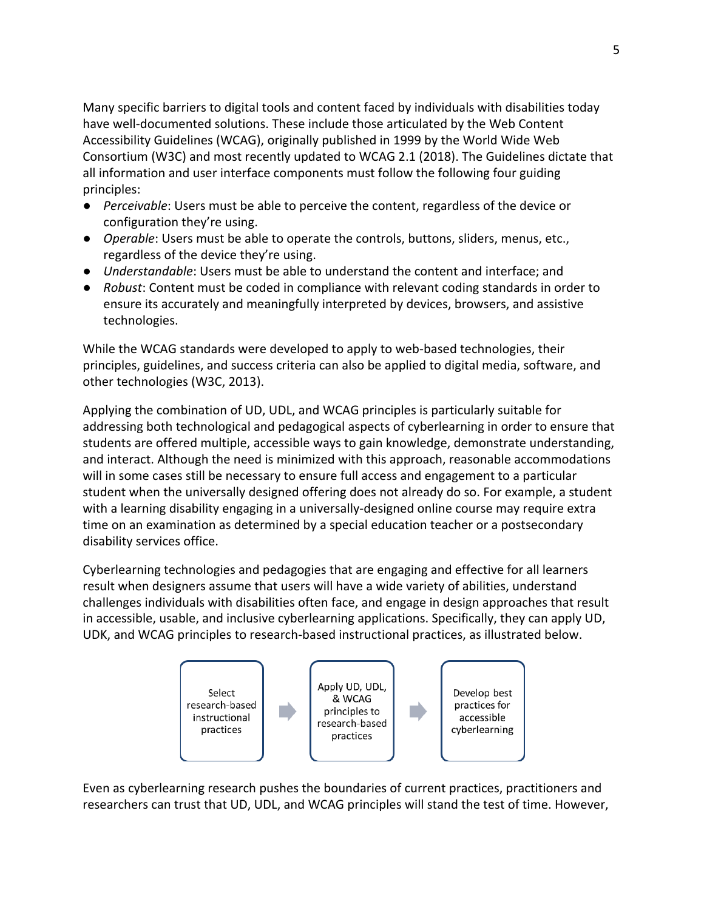Many specific barriers to digital tools and content faced by individuals with disabilities today have well-documented solutions. These include those articulated by the Web Content Accessibility Guidelines (WCAG), originally published in 1999 by the World Wide Web Consortium (W3C) and most recently updated to WCAG 2.1 (2018). The Guidelines dictate that all information and user interface components must follow the following four guiding principles:

- *Perceivable*: Users must be able to perceive the content, regardless of the device or configuration they're using.
- *Operable*: Users must be able to operate the controls, buttons, sliders, menus, etc., regardless of the device they're using.
- *Understandable*: Users must be able to understand the content and interface; and
- *Robust*: Content must be coded in compliance with relevant coding standards in order to ensure its accurately and meaningfully interpreted by devices, browsers, and assistive technologies.

While the WCAG standards were developed to apply to web-based technologies, their principles, guidelines, and success criteria can also be applied to digital media, software, and other technologies (W3C, 2013).

Applying the combination of UD, UDL, and WCAG principles is particularly suitable for addressing both technological and pedagogical aspects of cyberlearning in order to ensure that students are offered multiple, accessible ways to gain knowledge, demonstrate understanding, and interact. Although the need is minimized with this approach, reasonable accommodations will in some cases still be necessary to ensure full access and engagement to a particular student when the universally designed offering does not already do so. For example, a student with a learning disability engaging in a universally-designed online course may require extra time on an examination as determined by a special education teacher or a postsecondary disability services office.

Cyberlearning technologies and pedagogies that are engaging and effective for all learners result when designers assume that users will have a wide variety of abilities, understand challenges individuals with disabilities often face, and engage in design approaches that result in accessible, usable, and inclusive cyberlearning applications. Specifically, they can apply UD, UDK, and WCAG principles to research-based instructional practices, as illustrated below.



Even as cyberlearning research pushes the boundaries of current practices, practitioners and researchers can trust that UD, UDL, and WCAG principles will stand the test of time. However,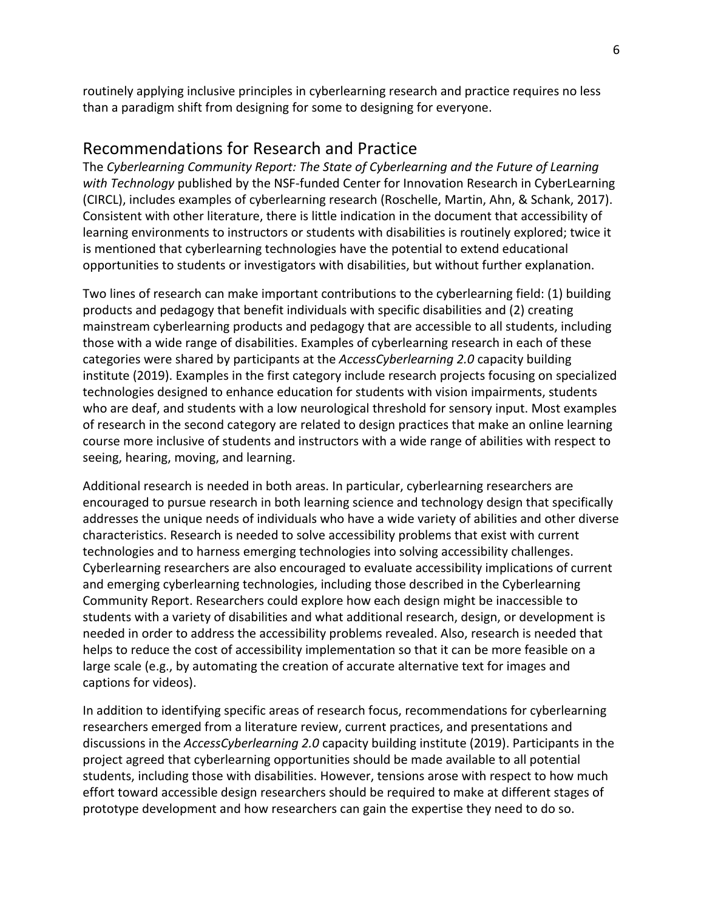routinely applying inclusive principles in cyberlearning research and practice requires no less than a paradigm shift from designing for some to designing for everyone.

### Recommendations for Research and Practice

The *Cyberlearning Community Report: The State of Cyberlearning and the Future of Learning with Technology* published by the NSF-funded Center for Innovation Research in CyberLearning (CIRCL), includes examples of cyberlearning research (Roschelle, Martin, Ahn, & Schank, 2017). Consistent with other literature, there is little indication in the document that accessibility of learning environments to instructors or students with disabilities is routinely explored; twice it is mentioned that cyberlearning technologies have the potential to extend educational opportunities to students or investigators with disabilities, but without further explanation.

Two lines of research can make important contributions to the cyberlearning field: (1) building products and pedagogy that benefit individuals with specific disabilities and (2) creating mainstream cyberlearning products and pedagogy that are accessible to all students, including those with a wide range of disabilities. Examples of cyberlearning research in each of these categories were shared by participants at the *AccessCyberlearning 2.0* capacity building institute (2019). Examples in the first category include research projects focusing on specialized technologies designed to enhance education for students with vision impairments, students who are deaf, and students with a low neurological threshold for sensory input. Most examples of research in the second category are related to design practices that make an online learning course more inclusive of students and instructors with a wide range of abilities with respect to seeing, hearing, moving, and learning.

Additional research is needed in both areas. In particular, cyberlearning researchers are encouraged to pursue research in both learning science and technology design that specifically addresses the unique needs of individuals who have a wide variety of abilities and other diverse characteristics. Research is needed to solve accessibility problems that exist with current technologies and to harness emerging technologies into solving accessibility challenges. Cyberlearning researchers are also encouraged to evaluate accessibility implications of current and emerging cyberlearning technologies, including those described in the Cyberlearning Community Report. Researchers could explore how each design might be inaccessible to students with a variety of disabilities and what additional research, design, or development is needed in order to address the accessibility problems revealed. Also, research is needed that helps to reduce the cost of accessibility implementation so that it can be more feasible on a large scale (e.g., by automating the creation of accurate alternative text for images and captions for videos).

In addition to identifying specific areas of research focus, recommendations for cyberlearning researchers emerged from a literature review, current practices, and presentations and discussions in the *AccessCyberlearning 2.0* capacity building institute (2019). Participants in the project agreed that cyberlearning opportunities should be made available to all potential students, including those with disabilities. However, tensions arose with respect to how much effort toward accessible design researchers should be required to make at different stages of prototype development and how researchers can gain the expertise they need to do so.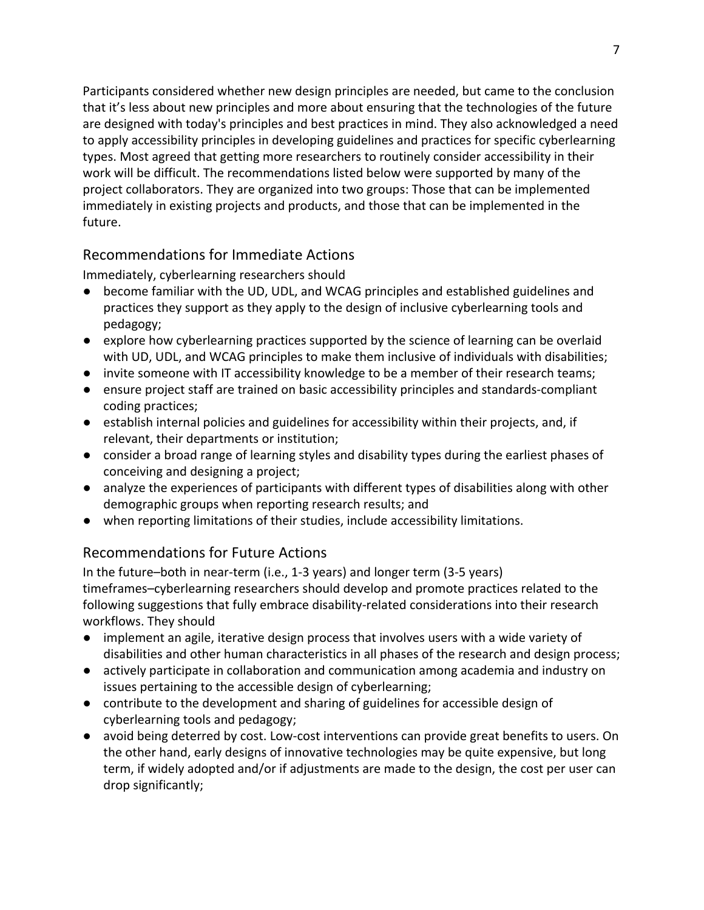Participants considered whether new design principles are needed, but came to the conclusion that it's less about new principles and more about ensuring that the technologies of the future are designed with today's principles and best practices in mind. They also acknowledged a need to apply accessibility principles in developing guidelines and practices for specific cyberlearning types. Most agreed that getting more researchers to routinely consider accessibility in their work will be difficult. The recommendations listed below were supported by many of the project collaborators. They are organized into two groups: Those that can be implemented immediately in existing projects and products, and those that can be implemented in the future.

#### Recommendations for Immediate Actions

Immediately, cyberlearning researchers should

- become familiar with the UD, UDL, and WCAG principles and established guidelines and practices they support as they apply to the design of inclusive cyberlearning tools and pedagogy;
- explore how cyberlearning practices supported by the science of learning can be overlaid with UD, UDL, and WCAG principles to make them inclusive of individuals with disabilities;
- invite someone with IT accessibility knowledge to be a member of their research teams;
- ensure project staff are trained on basic accessibility principles and standards-compliant coding practices;
- establish internal policies and guidelines for accessibility within their projects, and, if relevant, their departments or institution;
- consider a broad range of learning styles and disability types during the earliest phases of conceiving and designing a project;
- analyze the experiences of participants with different types of disabilities along with other demographic groups when reporting research results; and
- when reporting limitations of their studies, include accessibility limitations.

## Recommendations for Future Actions

In the future–both in near-term (i.e., 1-3 years) and longer term (3-5 years) timeframes–cyberlearning researchers should develop and promote practices related to the following suggestions that fully embrace disability-related considerations into their research workflows. They should

- implement an agile, iterative design process that involves users with a wide variety of disabilities and other human characteristics in all phases of the research and design process;
- actively participate in collaboration and communication among academia and industry on issues pertaining to the accessible design of cyberlearning;
- contribute to the development and sharing of guidelines for accessible design of cyberlearning tools and pedagogy;
- avoid being deterred by cost. Low-cost interventions can provide great benefits to users. On the other hand, early designs of innovative technologies may be quite expensive, but long term, if widely adopted and/or if adjustments are made to the design, the cost per user can drop significantly;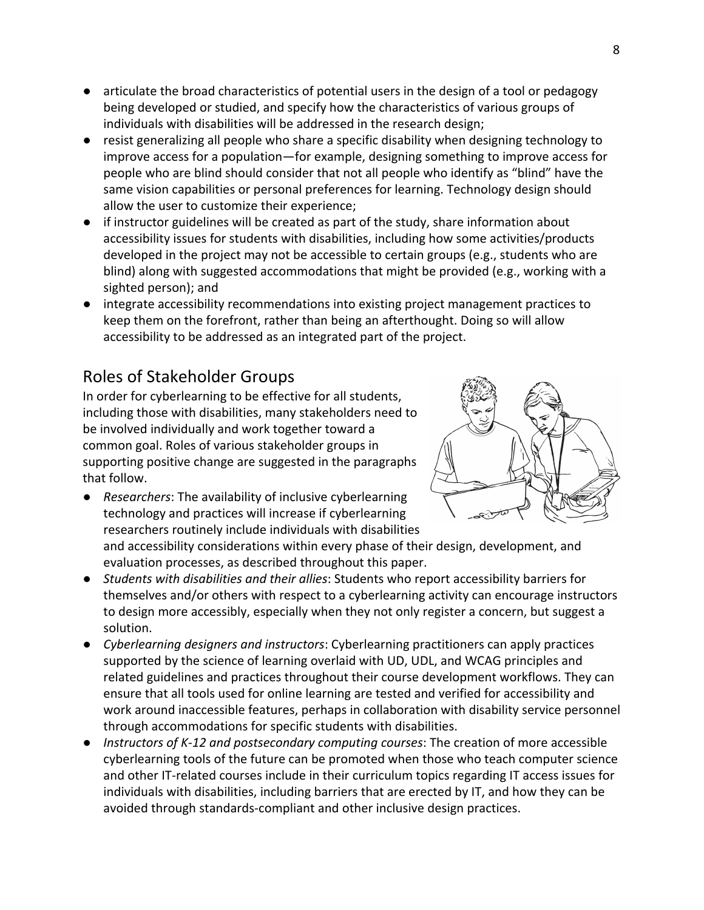- articulate the broad characteristics of potential users in the design of a tool or pedagogy being developed or studied, and specify how the characteristics of various groups of individuals with disabilities will be addressed in the research design;
- resist generalizing all people who share a specific disability when designing technology to improve access for a population—for example, designing something to improve access for people who are blind should consider that not all people who identify as "blind" have the same vision capabilities or personal preferences for learning. Technology design should allow the user to customize their experience;
- if instructor guidelines will be created as part of the study, share information about accessibility issues for students with disabilities, including how some activities/products developed in the project may not be accessible to certain groups (e.g., students who are blind) along with suggested accommodations that might be provided (e.g., working with a sighted person); and
- integrate accessibility recommendations into existing project management practices to keep them on the forefront, rather than being an afterthought. Doing so will allow accessibility to be addressed as an integrated part of the project.

# Roles of Stakeholder Groups

In order for cyberlearning to be effective for all students, including those with disabilities, many stakeholders need to be involved individually and work together toward a common goal. Roles of various stakeholder groups in supporting positive change are suggested in the paragraphs that follow.

● *Researchers*: The availability of inclusive cyberlearning technology and practices will increase if cyberlearning researchers routinely include individuals with disabilities



- *Students with disabilities and their allies*: Students who report accessibility barriers for themselves and/or others with respect to a cyberlearning activity can encourage instructors to design more accessibly, especially when they not only register a concern, but suggest a solution.
- *Cyberlearning designers and instructors*: Cyberlearning practitioners can apply practices supported by the science of learning overlaid with UD, UDL, and WCAG principles and related guidelines and practices throughout their course development workflows. They can ensure that all tools used for online learning are tested and verified for accessibility and work around inaccessible features, perhaps in collaboration with disability service personnel through accommodations for specific students with disabilities.
- *Instructors of K-12 and postsecondary computing courses*: The creation of more accessible cyberlearning tools of the future can be promoted when those who teach computer science and other IT-related courses include in their curriculum topics regarding IT access issues for individuals with disabilities, including barriers that are erected by IT, and how they can be avoided through standards-compliant and other inclusive design practices.

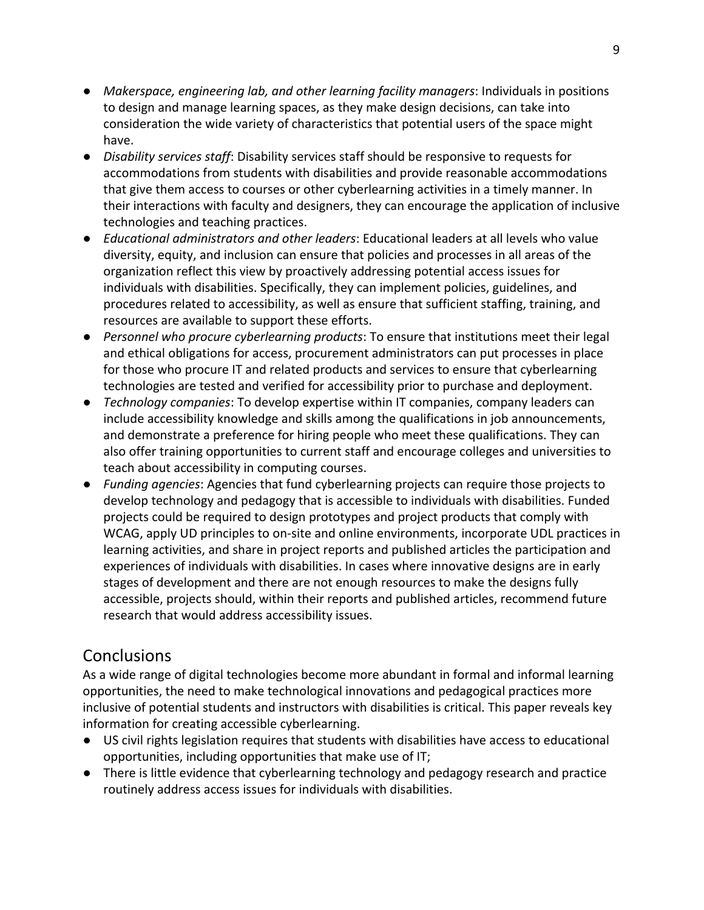- *Makerspace, engineering lab, and other learning facility managers*: Individuals in positions to design and manage learning spaces, as they make design decisions, can take into consideration the wide variety of characteristics that potential users of the space might have.
- *Disability services staff*: Disability services staff should be responsive to requests for accommodations from students with disabilities and provide reasonable accommodations that give them access to courses or other cyberlearning activities in a timely manner. In their interactions with faculty and designers, they can encourage the application of inclusive technologies and teaching practices.
- *Educational administrators and other leaders*: Educational leaders at all levels who value diversity, equity, and inclusion can ensure that policies and processes in all areas of the organization reflect this view by proactively addressing potential access issues for individuals with disabilities. Specifically, they can implement policies, guidelines, and procedures related to accessibility, as well as ensure that sufficient staffing, training, and resources are available to support these efforts.
- *Personnel who procure cyberlearning products*: To ensure that institutions meet their legal and ethical obligations for access, procurement administrators can put processes in place for those who procure IT and related products and services to ensure that cyberlearning technologies are tested and verified for accessibility prior to purchase and deployment.
- *Technology companies*: To develop expertise within IT companies, company leaders can include accessibility knowledge and skills among the qualifications in job announcements, and demonstrate a preference for hiring people who meet these qualifications. They can also offer training opportunities to current staff and encourage colleges and universities to teach about accessibility in computing courses.
- *Funding agencies*: Agencies that fund cyberlearning projects can require those projects to develop technology and pedagogy that is accessible to individuals with disabilities. Funded projects could be required to design prototypes and project products that comply with WCAG, apply UD principles to on-site and online environments, incorporate UDL practices in learning activities, and share in project reports and published articles the participation and experiences of individuals with disabilities. In cases where innovative designs are in early stages of development and there are not enough resources to make the designs fully accessible, projects should, within their reports and published articles, recommend future research that would address accessibility issues.

# **Conclusions**

As a wide range of digital technologies become more abundant in formal and informal learning opportunities, the need to make technological innovations and pedagogical practices more inclusive of potential students and instructors with disabilities is critical. This paper reveals key information for creating accessible cyberlearning.

- US civil rights legislation requires that students with disabilities have access to educational opportunities, including opportunities that make use of IT;
- There is little evidence that cyberlearning technology and pedagogy research and practice routinely address access issues for individuals with disabilities.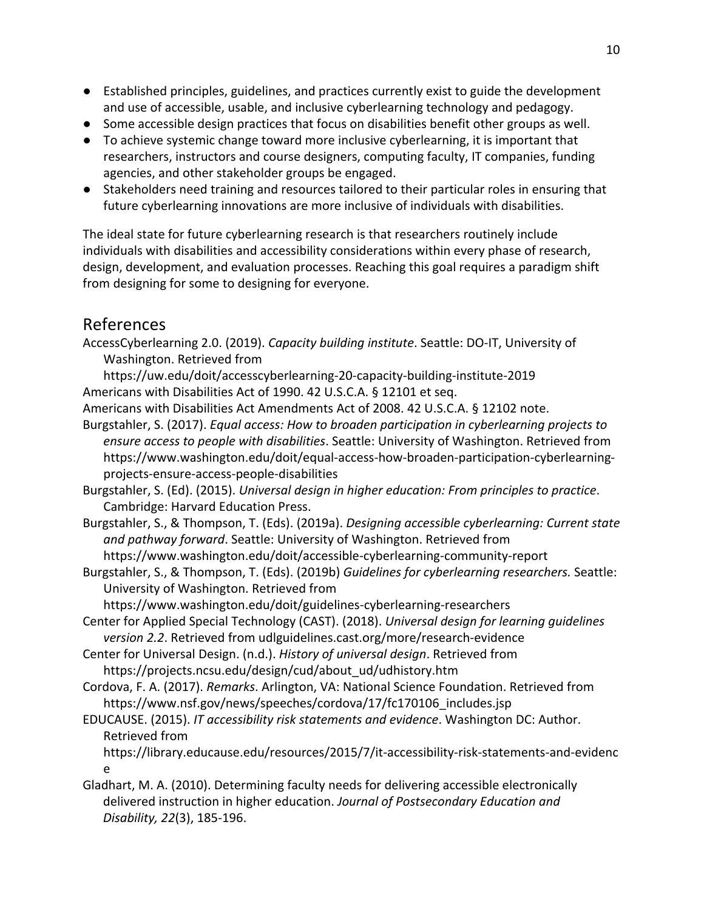- Established principles, guidelines, and practices currently exist to guide the development and use of accessible, usable, and inclusive cyberlearning technology and pedagogy.
- Some accessible design practices that focus on disabilities benefit other groups as well.
- To achieve systemic change toward more inclusive cyberlearning, it is important that researchers, instructors and course designers, computing faculty, IT companies, funding agencies, and other stakeholder groups be engaged.
- Stakeholders need training and resources tailored to their particular roles in ensuring that future cyberlearning innovations are more inclusive of individuals with disabilities.

The ideal state for future cyberlearning research is that researchers routinely include individuals with disabilities and accessibility considerations within every phase of research, design, development, and evaluation processes. Reaching this goal requires a paradigm shift from designing for some to designing for everyone.

# References

AccessCyberlearning 2.0. (2019). *Capacity building institute*. Seattle: DO-IT, University of Washington. Retrieved from

[https://uw.edu/doit/accesscyberlearning-20-capacity-building-institute-2019](https://www.washington.edu/doit/accesscyberlearning-20-capacity-building-institute-2019) Americans with Disabilities Act of 1990. 42 U.S.C.A. § 12101 et seq.

- Americans with Disabilities Act Amendments Act of 2008. 42 U.S.C.A. § 12102 note.
- Burgstahler, S. (2017). *Equal access: How to broaden participation in cyberlearning projects to ensure access to people with disabilities*. Seattle: University of Washington. Retrieved from <https://www.washington.edu/doit/equal-access-how-broaden-participation-cyberlearning>projects-ensure-access-people-disabilities
- Burgstahler, S. (Ed). (2015). *Universal design in higher education: From principles to practice*. Cambridge: Harvard Education Press.
- Burgstahler, S., & Thompson, T. (Eds). (2019a). *Designing accessible cyberlearning: Current state and pathway forward*. Seattle: University of Washington. Retrieved from <https://www.washington.edu/doit/accessible-cyberlearning-community-report>
- Burgstahler, S., & Thompson, T. (Eds). (2019b) *Guidelines for cyberlearning researchers.* Seattle: University of Washington. Retrieved from

<https://www.washington.edu/doit/guidelines-cyberlearning-researchers>

- Center for Applied Special Technology (CAST). (2018). *Universal design for learning guidelines version 2.2*. Retrieved from [udlguidelines.cast.org/more/research-evidence](http://udlguidelines.cast.org/more/research-evidence)
- Center for Universal Design. (n.d.). *History of universal design*. Retrieved from [https://projects.ncsu.edu/design/cud/about\\_ud/udhistory.htm](https://projects.ncsu.edu/design/cud/about_ud/udhistory.htm)
- Cordova, F. A. (2017). *Remarks*. Arlington, VA: National Science Foundation. Retrieved from [https://www.nsf.gov/news/speeches/cordova/17/fc170106\\_includes.jsp](https://www.nsf.gov/news/speeches/cordova/17/fc170106_includes.jsp)
- EDUCAUSE. (2015). *IT accessibility risk statements and evidence*. Washington DC: Author. Retrieved from

[https://library.educause.edu/resources/2015/7/it-accessibility-risk-statements-and-evidenc](https://library.educause.edu/resources/2015/7/it-accessibility-risk-statements-and-evidence) [e](https://library.educause.edu/resources/2015/7/it-accessibility-risk-statements-and-evidence)

Gladhart, M. A. (2010). Determining faculty needs for delivering accessible electronically delivered instruction in higher education. *Journal of Postsecondary Education and Disability, 22*(3), 185-196.